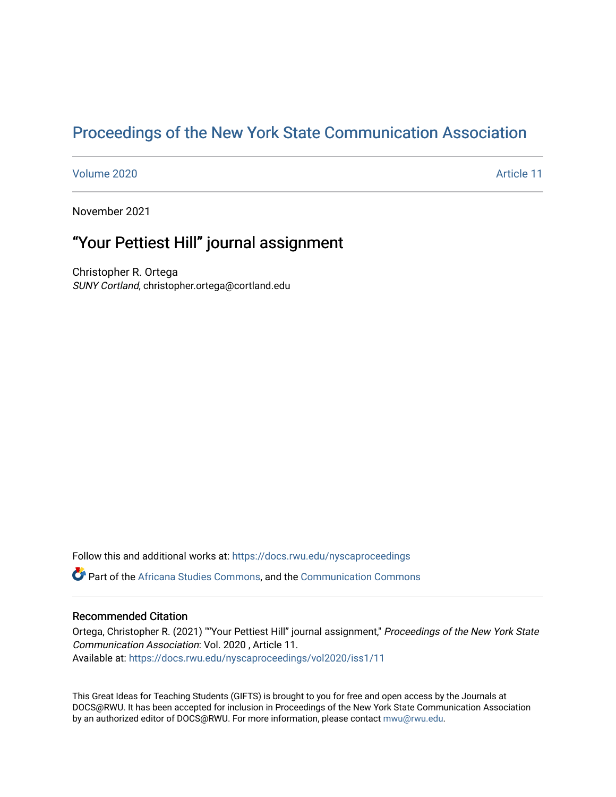# [Proceedings of the New York State Communication Association](https://docs.rwu.edu/nyscaproceedings)

#### [Volume 2020](https://docs.rwu.edu/nyscaproceedings/vol2020) [Article 11](https://docs.rwu.edu/nyscaproceedings/vol2020/iss1/11)

November 2021

## "Your Pettiest Hill" journal assignment

Christopher R. Ortega SUNY Cortland, christopher.ortega@cortland.edu

Follow this and additional works at: [https://docs.rwu.edu/nyscaproceedings](https://docs.rwu.edu/nyscaproceedings?utm_source=docs.rwu.edu%2Fnyscaproceedings%2Fvol2020%2Fiss1%2F11&utm_medium=PDF&utm_campaign=PDFCoverPages)

Part of the [Africana Studies Commons,](http://network.bepress.com/hgg/discipline/1418?utm_source=docs.rwu.edu%2Fnyscaproceedings%2Fvol2020%2Fiss1%2F11&utm_medium=PDF&utm_campaign=PDFCoverPages) and the [Communication Commons](http://network.bepress.com/hgg/discipline/325?utm_source=docs.rwu.edu%2Fnyscaproceedings%2Fvol2020%2Fiss1%2F11&utm_medium=PDF&utm_campaign=PDFCoverPages)

#### Recommended Citation

Ortega, Christopher R. (2021) ""Your Pettiest Hill" journal assignment," Proceedings of the New York State Communication Association: Vol. 2020 , Article 11. Available at: [https://docs.rwu.edu/nyscaproceedings/vol2020/iss1/11](https://docs.rwu.edu/nyscaproceedings/vol2020/iss1/11?utm_source=docs.rwu.edu%2Fnyscaproceedings%2Fvol2020%2Fiss1%2F11&utm_medium=PDF&utm_campaign=PDFCoverPages) 

This Great Ideas for Teaching Students (GIFTS) is brought to you for free and open access by the Journals at DOCS@RWU. It has been accepted for inclusion in Proceedings of the New York State Communication Association by an authorized editor of DOCS@RWU. For more information, please contact [mwu@rwu.edu.](mailto:mwu@rwu.edu)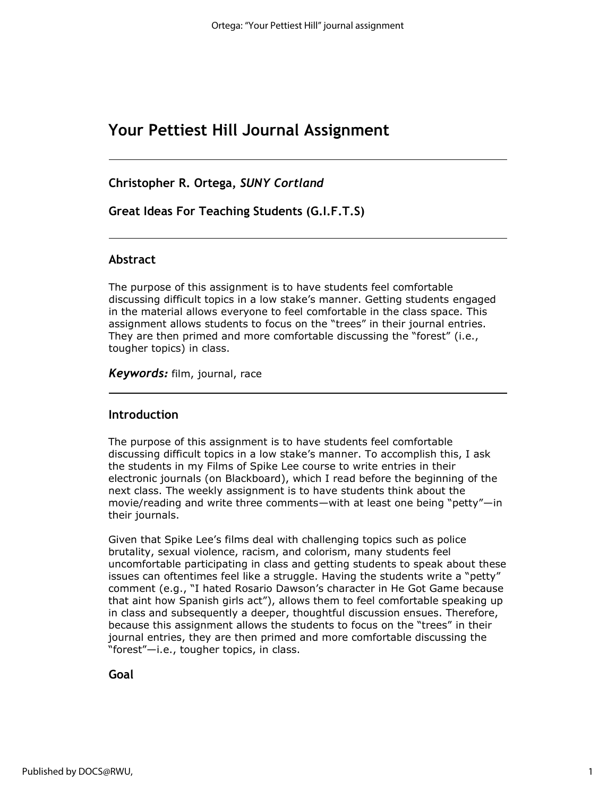## **Your Pettiest Hill Journal Assignment**

**Christopher R. Ortega,** *SUNY Cortland*

**Great Ideas For Teaching Students (G.I.F.T.S)**

#### **Abstract**

The purpose of this assignment is to have students feel comfortable discussing difficult topics in a low stake's manner. Getting students engaged in the material allows everyone to feel comfortable in the class space. This assignment allows students to focus on the "trees" in their journal entries. They are then primed and more comfortable discussing the "forest" (i.e., tougher topics) in class.

*Keywords:* film, journal, race

#### **Introduction**

The purpose of this assignment is to have students feel comfortable discussing difficult topics in a low stake's manner. To accomplish this, I ask the students in my Films of Spike Lee course to write entries in their electronic journals (on Blackboard), which I read before the beginning of the next class. The weekly assignment is to have students think about the movie/reading and write three comments—with at least one being "petty"—in their journals.

Given that Spike Lee's films deal with challenging topics such as police brutality, sexual violence, racism, and colorism, many students feel uncomfortable participating in class and getting students to speak about these issues can oftentimes feel like a struggle. Having the students write a "petty" comment (e.g., "I hated Rosario Dawson's character in He Got Game because that aint how Spanish girls act"), allows them to feel comfortable speaking up in class and subsequently a deeper, thoughtful discussion ensues. Therefore, because this assignment allows the students to focus on the "trees" in their journal entries, they are then primed and more comfortable discussing the "forest"—i.e., tougher topics, in class.

#### **Goal**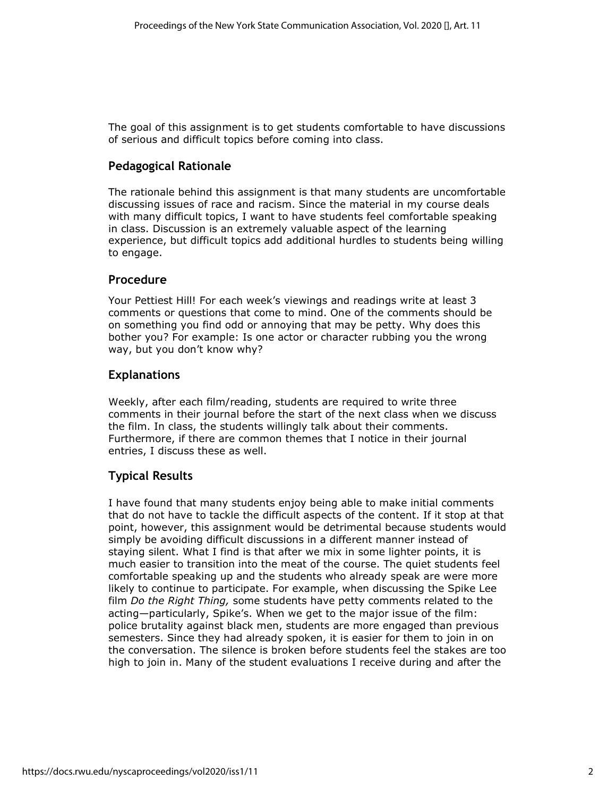The goal of this assignment is to get students comfortable to have discussions of serious and difficult topics before coming into class.

## **Pedagogical Rationale**

The rationale behind this assignment is that many students are uncomfortable discussing issues of race and racism. Since the material in my course deals with many difficult topics, I want to have students feel comfortable speaking in class. Discussion is an extremely valuable aspect of the learning experience, but difficult topics add additional hurdles to students being willing to engage.

### **Procedure**

Your Pettiest Hill! For each week's viewings and readings write at least 3 comments or questions that come to mind. One of the comments should be on something you find odd or annoying that may be petty. Why does this bother you? For example: Is one actor or character rubbing you the wrong way, but you don't know why?

### **Explanations**

Weekly, after each film/reading, students are required to write three comments in their journal before the start of the next class when we discuss the film. In class, the students willingly talk about their comments. Furthermore, if there are common themes that I notice in their journal entries, I discuss these as well.

## **Typical Results**

I have found that many students enjoy being able to make initial comments that do not have to tackle the difficult aspects of the content. If it stop at that point, however, this assignment would be detrimental because students would simply be avoiding difficult discussions in a different manner instead of staying silent. What I find is that after we mix in some lighter points, it is much easier to transition into the meat of the course. The quiet students feel comfortable speaking up and the students who already speak are were more likely to continue to participate. For example, when discussing the Spike Lee film *Do the Right Thing,* some students have petty comments related to the acting—particularly, Spike's. When we get to the major issue of the film: police brutality against black men, students are more engaged than previous semesters. Since they had already spoken, it is easier for them to join in on the conversation. The silence is broken before students feel the stakes are too high to join in. Many of the student evaluations I receive during and after the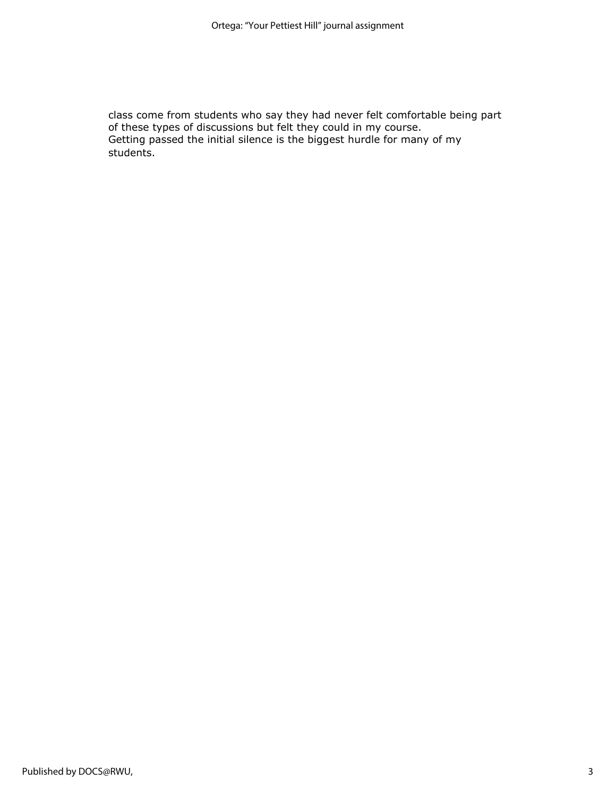class come from students who say they had never felt comfortable being part of these types of discussions but felt they could in my course. Getting passed the initial silence is the biggest hurdle for many of my students.